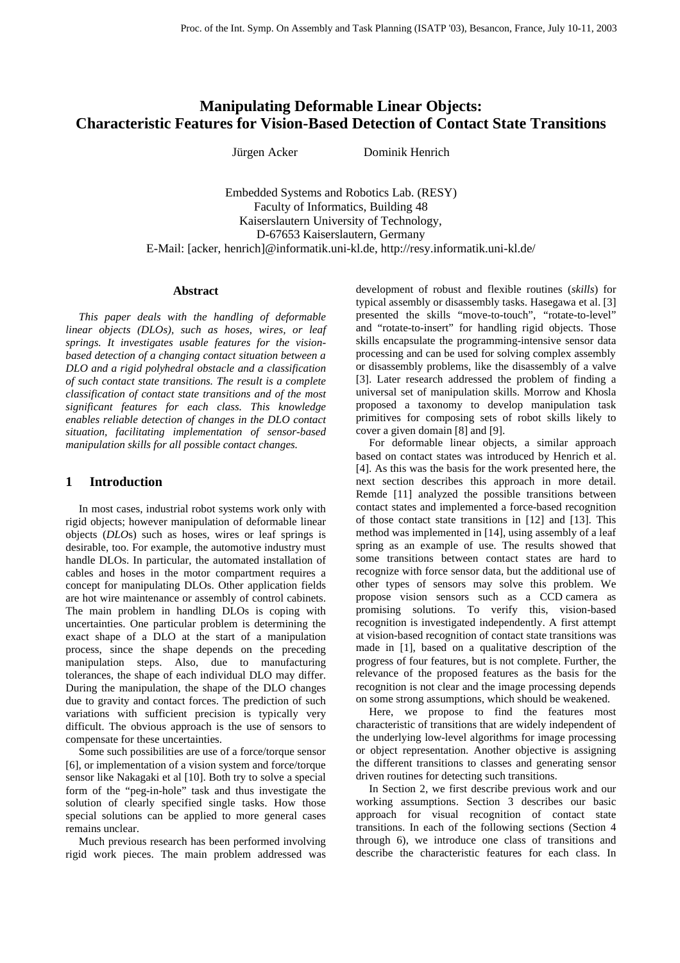# **Manipulating Deformable Linear Objects: Characteristic Features for Vision-Based Detection of Contact State Transitions**

Jürgen Acker Dominik Henrich

Embedded Systems and Robotics Lab. (RESY) Faculty of Informatics, Building 48 Kaiserslautern University of Technology, D-67653 Kaiserslautern, Germany E-Mail: [acker, henrich]@informatik.uni-kl.de, http://resy.informatik.uni-kl.de/

#### **Abstract**

*This paper deals with the handling of deformable linear objects (DLOs), such as hoses, wires, or leaf springs. It investigates usable features for the visionbased detection of a changing contact situation between a DLO and a rigid polyhedral obstacle and a classification of such contact state transitions. The result is a complete classification of contact state transitions and of the most significant features for each class. This knowledge enables reliable detection of changes in the DLO contact situation, facilitating implementation of sensor-based manipulation skills for all possible contact changes.* 

## **1 Introduction**

In most cases, industrial robot systems work only with rigid objects; however manipulation of deformable linear objects (*DLO*s) such as hoses, wires or leaf springs is desirable, too. For example, the automotive industry must handle DLOs. In particular, the automated installation of cables and hoses in the motor compartment requires a concept for manipulating DLOs. Other application fields are hot wire maintenance or assembly of control cabinets. The main problem in handling DLOs is coping with uncertainties. One particular problem is determining the exact shape of a DLO at the start of a manipulation process, since the shape depends on the preceding manipulation steps. Also, due to manufacturing tolerances, the shape of each individual DLO may differ. During the manipulation, the shape of the DLO changes due to gravity and contact forces. The prediction of such variations with sufficient precision is typically very difficult. The obvious approach is the use of sensors to compensate for these uncertainties.

Some such possibilities are use of a force/torque sensor [6], or implementation of a vision system and force/torque sensor like Nakagaki et al [10]. Both try to solve a special form of the "peg-in-hole" task and thus investigate the solution of clearly specified single tasks. How those special solutions can be applied to more general cases remains unclear.

Much previous research has been performed involving rigid work pieces. The main problem addressed was

development of robust and flexible routines (*skills*) for typical assembly or disassembly tasks. Hasegawa et al. [3] presented the skills "move-to-touch", "rotate-to-level" and "rotate-to-insert" for handling rigid objects. Those skills encapsulate the programming-intensive sensor data processing and can be used for solving complex assembly or disassembly problems, like the disassembly of a valve [3]. Later research addressed the problem of finding a universal set of manipulation skills. Morrow and Khosla proposed a taxonomy to develop manipulation task primitives for composing sets of robot skills likely to cover a given domain [8] and [9].

For deformable linear objects, a similar approach based on contact states was introduced by Henrich et al. [4]. As this was the basis for the work presented here, the next section describes this approach in more detail. Remde [11] analyzed the possible transitions between contact states and implemented a force-based recognition of those contact state transitions in [12] and [13]. This method was implemented in [14], using assembly of a leaf spring as an example of use. The results showed that some transitions between contact states are hard to recognize with force sensor data, but the additional use of other types of sensors may solve this problem. We propose vision sensors such as a CCD camera as promising solutions. To verify this, vision-based recognition is investigated independently. A first attempt at vision-based recognition of contact state transitions was made in [1], based on a qualitative description of the progress of four features, but is not complete. Further, the relevance of the proposed features as the basis for the recognition is not clear and the image processing depends on some strong assumptions, which should be weakened.

Here, we propose to find the features most characteristic of transitions that are widely independent of the underlying low-level algorithms for image processing or object representation. Another objective is assigning the different transitions to classes and generating sensor driven routines for detecting such transitions.

In Section 2, we first describe previous work and our working assumptions. Section 3 describes our basic approach for visual recognition of contact state transitions. In each of the following sections (Section 4 through 6), we introduce one class of transitions and describe the characteristic features for each class. In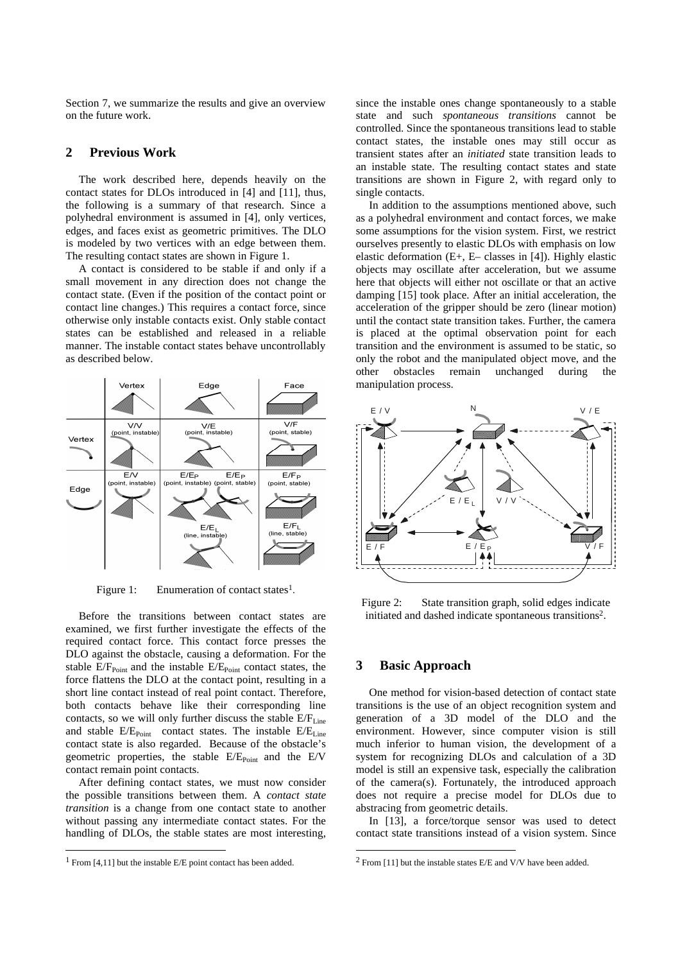Section 7, we summarize the results and give an overview on the future work.

### **2 Previous Work**

The work described here, depends heavily on the contact states for DLOs introduced in [4] and [11], thus, the following is a summary of that research. Since a polyhedral environment is assumed in [4], only vertices, edges, and faces exist as geometric primitives. The DLO is modeled by two vertices with an edge between them. The resulting contact states are shown in Figure 1.

A contact is considered to be stable if and only if a small movement in any direction does not change the contact state. (Even if the position of the contact point or contact line changes.) This requires a contact force, since otherwise only instable contacts exist. Only stable contact states can be established and released in a reliable manner. The instable contact states behave uncontrollably as described below.



Figure 1: Enumeration of contact states<sup>1</sup>.

Before the transitions between contact states are examined, we first further investigate the effects of the required contact force. This contact force presses the DLO against the obstacle, causing a deformation. For the stable  $E/F_{Point}$  and the instable  $E/E_{Point}$  contact states, the force flattens the DLO at the contact point, resulting in a short line contact instead of real point contact. Therefore, both contacts behave like their corresponding line contacts, so we will only further discuss the stable  $E/F_{Line}$ and stable  $E/E_{Point}$  contact states. The instable  $E/E_{Line}$ contact state is also regarded. Because of the obstacle's geometric properties, the stable  $E/E_{Point}$  and the  $E/V$ contact remain point contacts.

After defining contact states, we must now consider the possible transitions between them. A *contact state transition* is a change from one contact state to another without passing any intermediate contact states. For the handling of DLOs, the stable states are most interesting,

l

since the instable ones change spontaneously to a stable state and such *spontaneous transitions* cannot be controlled. Since the spontaneous transitions lead to stable contact states, the instable ones may still occur as transient states after an *initiated* state transition leads to an instable state. The resulting contact states and state transitions are shown in Figure 2, with regard only to single contacts.

In addition to the assumptions mentioned above, such as a polyhedral environment and contact forces, we make some assumptions for the vision system. First, we restrict ourselves presently to elastic DLOs with emphasis on low elastic deformation (E+, E– classes in [4]). Highly elastic objects may oscillate after acceleration, but we assume here that objects will either not oscillate or that an active damping [15] took place. After an initial acceleration, the acceleration of the gripper should be zero (linear motion) until the contact state transition takes. Further, the camera is placed at the optimal observation point for each transition and the environment is assumed to be static, so only the robot and the manipulated object move, and the other obstacles remain unchanged during the manipulation process.



Figure 2: State transition graph, solid edges indicate initiated and dashed indicate spontaneous transitions<sup>2</sup> .

#### **3 Basic Approach**

l

One method for vision-based detection of contact state transitions is the use of an object recognition system and generation of a 3D model of the DLO and the environment. However, since computer vision is still much inferior to human vision, the development of a system for recognizing DLOs and calculation of a 3D model is still an expensive task, especially the calibration of the camera(s). Fortunately, the introduced approach does not require a precise model for DLOs due to abstracing from geometric details.

In [13], a force/torque sensor was used to detect contact state transitions instead of a vision system. Since

<sup>1</sup> From [4,11] but the instable E/E point contact has been added.

<sup>&</sup>lt;sup>2</sup> From [11] but the instable states E/E and V/V have been added.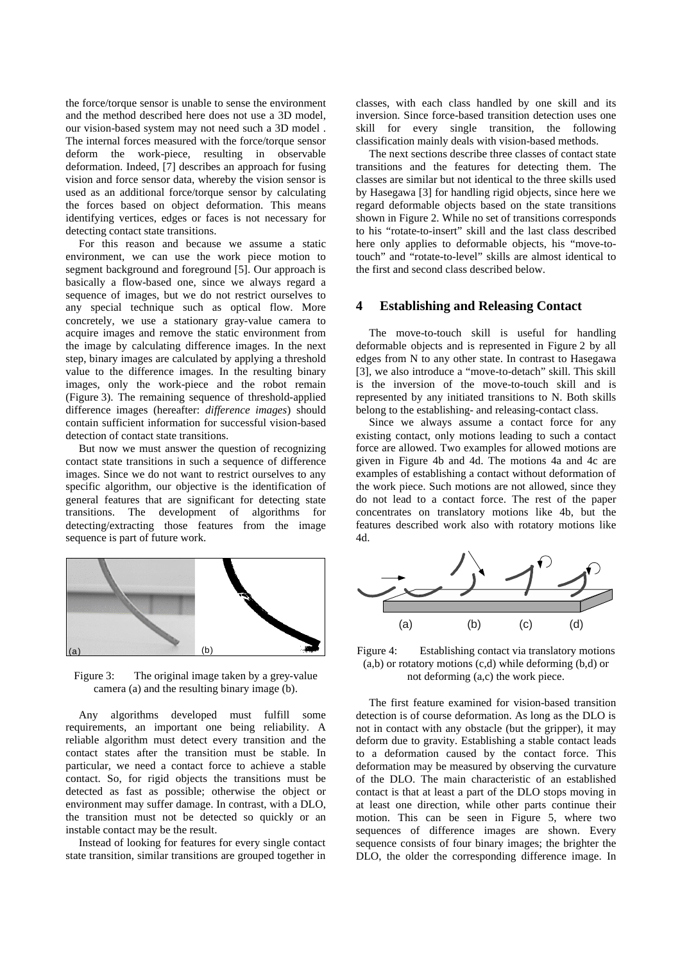the force/torque sensor is unable to sense the environment and the method described here does not use a 3D model, our vision-based system may not need such a 3D model . The internal forces measured with the force/torque sensor deform the work-piece, resulting in observable deformation. Indeed, [7] describes an approach for fusing vision and force sensor data, whereby the vision sensor is used as an additional force/torque sensor by calculating the forces based on object deformation. This means identifying vertices, edges or faces is not necessary for detecting contact state transitions.

For this reason and because we assume a static environment, we can use the work piece motion to segment background and foreground [5]. Our approach is basically a flow-based one, since we always regard a sequence of images, but we do not restrict ourselves to any special technique such as optical flow. More concretely, we use a stationary gray-value camera to acquire images and remove the static environment from the image by calculating difference images. In the next step, binary images are calculated by applying a threshold value to the difference images. In the resulting binary images, only the work-piece and the robot remain (Figure 3). The remaining sequence of threshold-applied difference images (hereafter: *difference images*) should contain sufficient information for successful vision-based detection of contact state transitions.

But now we must answer the question of recognizing contact state transitions in such a sequence of difference images. Since we do not want to restrict ourselves to any specific algorithm, our objective is the identification of general features that are significant for detecting state transitions. The development of algorithms for detecting/extracting those features from the image sequence is part of future work.



Figure 3: The original image taken by a grey-value camera (a) and the resulting binary image (b).

Any algorithms developed must fulfill some requirements, an important one being reliability. A reliable algorithm must detect every transition and the contact states after the transition must be stable. In particular, we need a contact force to achieve a stable contact. So, for rigid objects the transitions must be detected as fast as possible; otherwise the object or environment may suffer damage. In contrast, with a DLO, the transition must not be detected so quickly or an instable contact may be the result.

Instead of looking for features for every single contact state transition, similar transitions are grouped together in

classes, with each class handled by one skill and its inversion. Since force-based transition detection uses one skill for every single transition, the following classification mainly deals with vision-based methods.

The next sections describe three classes of contact state transitions and the features for detecting them. The classes are similar but not identical to the three skills used by Hasegawa [3] for handling rigid objects, since here we regard deformable objects based on the state transitions shown in Figure 2. While no set of transitions corresponds to his "rotate-to-insert" skill and the last class described here only applies to deformable objects, his "move-totouch" and "rotate-to-level" skills are almost identical to the first and second class described below.

# **4 Establishing and Releasing Contact**

The move-to-touch skill is useful for handling deformable objects and is represented in Figure 2 by all edges from N to any other state. In contrast to Hasegawa [3], we also introduce a "move-to-detach" skill. This skill is the inversion of the move-to-touch skill and is represented by any initiated transitions to N. Both skills belong to the establishing- and releasing-contact class.

Since we always assume a contact force for any existing contact, only motions leading to such a contact force are allowed. Two examples for allowed motions are given in Figure 4b and 4d. The motions 4a and 4c are examples of establishing a contact without deformation of the work piece. Such motions are not allowed, since they do not lead to a contact force. The rest of the paper concentrates on translatory motions like 4b, but the features described work also with rotatory motions like 4d.



Figure 4: Establishing contact via translatory motions  $(a,b)$  or rotatory motions  $(c,d)$  while deforming  $(b,d)$  or not deforming (a,c) the work piece.

The first feature examined for vision-based transition detection is of course deformation. As long as the DLO is not in contact with any obstacle (but the gripper), it may deform due to gravity. Establishing a stable contact leads to a deformation caused by the contact force. This deformation may be measured by observing the curvature of the DLO. The main characteristic of an established contact is that at least a part of the DLO stops moving in at least one direction, while other parts continue their motion. This can be seen in Figure 5, where two sequences of difference images are shown. Every sequence consists of four binary images; the brighter the DLO, the older the corresponding difference image. In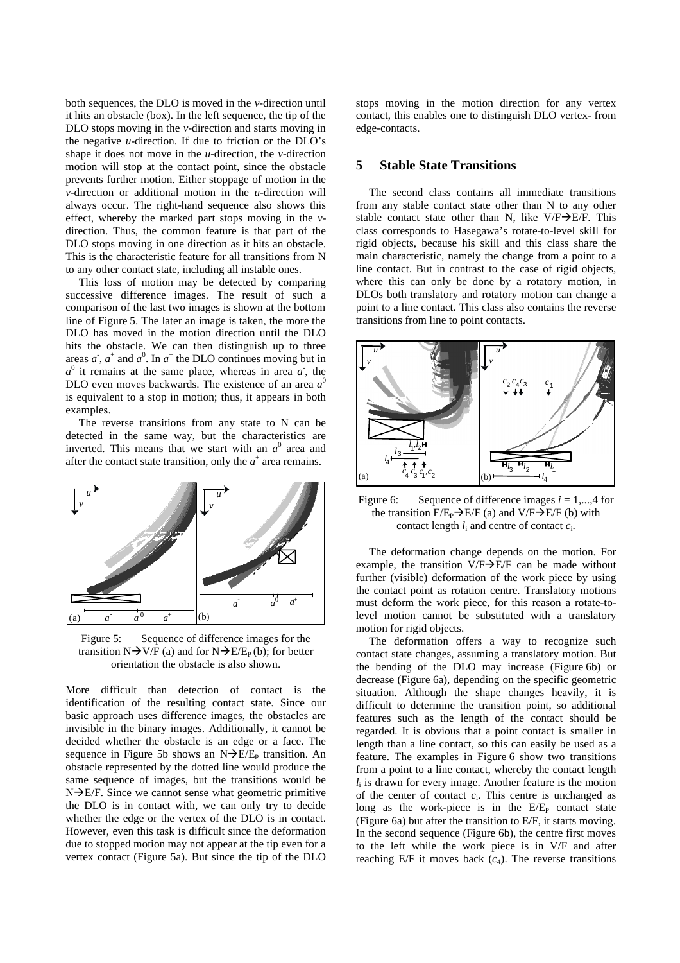both sequences, the DLO is moved in the *v*-direction until it hits an obstacle (box). In the left sequence, the tip of the DLO stops moving in the *v*-direction and starts moving in the negative *u*-direction. If due to friction or the DLO's shape it does not move in the *u*-direction, the *v*-direction motion will stop at the contact point, since the obstacle prevents further motion. Either stoppage of motion in the *v*-direction or additional motion in the *u*-direction will always occur. The right-hand sequence also shows this effect, whereby the marked part stops moving in the *v*direction. Thus, the common feature is that part of the DLO stops moving in one direction as it hits an obstacle. This is the characteristic feature for all transitions from N to any other contact state, including all instable ones.

This loss of motion may be detected by comparing successive difference images. The result of such a comparison of the last two images is shown at the bottom line of Figure 5. The later an image is taken, the more the DLO has moved in the motion direction until the DLO hits the obstacle. We can then distinguish up to three areas  $a$ ,  $a^+$  and  $a^0$ . In  $a^+$  the DLO continues moving but in  $a^0$  it remains at the same place, whereas in area  $a^r$ , the DLO even moves backwards. The existence of an area *a* 0 is equivalent to a stop in motion; thus, it appears in both examples.

The reverse transitions from any state to N can be detected in the same way, but the characteristics are inverted. This means that we start with an  $a^0$  area and after the contact state transition, only the  $a^+$  area remains.



Figure 5: Sequence of difference images for the transition  $N\rightarrow V/F$  (a) and for  $N\rightarrow E/E_P (b)$ ; for better orientation the obstacle is also shown.

More difficult than detection of contact is the identification of the resulting contact state. Since our basic approach uses difference images, the obstacles are invisible in the binary images. Additionally, it cannot be decided whether the obstacle is an edge or a face. The sequence in Figure 5b shows an  $N\rightarrow E/E_P$  transition. An obstacle represented by the dotted line would produce the same sequence of images, but the transitions would be  $N\rightarrow E/F$ . Since we cannot sense what geometric primitive the DLO is in contact with, we can only try to decide whether the edge or the vertex of the DLO is in contact. However, even this task is difficult since the deformation due to stopped motion may not appear at the tip even for a vertex contact (Figure 5a). But since the tip of the DLO stops moving in the motion direction for any vertex contact, this enables one to distinguish DLO vertex- from edge-contacts.

# **5 Stable State Transitions**

The second class contains all immediate transitions from any stable contact state other than N to any other stable contact state other than N, like  $V/F\rightarrow E/F$ . This class corresponds to Hasegawa's rotate-to-level skill for rigid objects, because his skill and this class share the main characteristic, namely the change from a point to a line contact. But in contrast to the case of rigid objects, where this can only be done by a rotatory motion, in DLOs both translatory and rotatory motion can change a point to a line contact. This class also contains the reverse transitions from line to point contacts.



Figure 6: Sequence of difference images *i* = 1,...,4 for the transition  $E/E_P \rightarrow E/F$  (a) and  $V/F \rightarrow E/F$  (b) with contact length  $l_i$  and centre of contact  $c_i$ .

The deformation change depends on the motion. For example, the transition  $V/F\rightarrow E/F$  can be made without further (visible) deformation of the work piece by using the contact point as rotation centre. Translatory motions must deform the work piece, for this reason a rotate-tolevel motion cannot be substituted with a translatory motion for rigid objects.

The deformation offers a way to recognize such contact state changes, assuming a translatory motion. But the bending of the DLO may increase (Figure 6b) or decrease (Figure 6a), depending on the specific geometric situation. Although the shape changes heavily, it is difficult to determine the transition point, so additional features such as the length of the contact should be regarded. It is obvious that a point contact is smaller in length than a line contact, so this can easily be used as a feature. The examples in Figure 6 show two transitions from a point to a line contact, whereby the contact length *l*i is drawn for every image. Another feature is the motion of the center of contact  $c_i$ . This centre is unchanged as long as the work-piece is in the  $E/E<sub>P</sub>$  contact state (Figure 6a) but after the transition to E/F, it starts moving. In the second sequence (Figure 6b), the centre first moves to the left while the work piece is in V/F and after reaching  $E/F$  it moves back  $(c_4)$ . The reverse transitions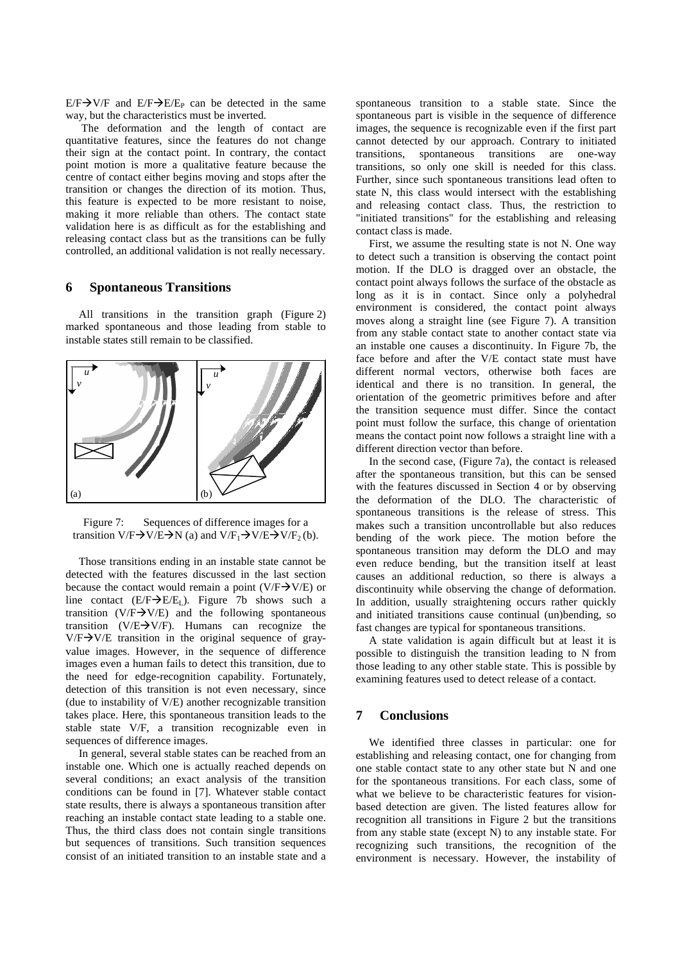$E/F\rightarrow V/F$  and  $E/F\rightarrow E/E_P$  can be detected in the same way, but the characteristics must be inverted.

The deformation and the length of contact are quantitative features, since the features do not change their sign at the contact point. In contrary, the contact point motion is more a qualitative feature because the centre of contact either begins moving and stops after the transition or changes the direction of its motion. Thus, this feature is expected to be more resistant to noise, making it more reliable than others. The contact state validation here is as difficult as for the establishing and releasing contact class but as the transitions can be fully controlled, an additional validation is not really necessary.

### **6 Spontaneous Transitions**

All transitions in the transition graph (Figure 2) marked spontaneous and those leading from stable to instable states still remain to be classified.



Figure 7: Sequences of difference images for a transition  $V/F\rightarrow V/E\rightarrow N$  (a) and  $V/F_1\rightarrow V/E\rightarrow V/F_2$  (b).

Those transitions ending in an instable state cannot be detected with the features discussed in the last section because the contact would remain a point (V/F $\rightarrow$ V/E) or line contact  $(E/F\rightarrow E/E_L)$ . Figure 7b shows such a transition (V/F $\rightarrow$ V/E) and the following spontaneous transition (V/E $\rightarrow$ V/F). Humans can recognize the  $V/F\rightarrow V/E$  transition in the original sequence of grayvalue images. However, in the sequence of difference images even a human fails to detect this transition, due to the need for edge-recognition capability. Fortunately, detection of this transition is not even necessary, since (due to instability of V/E) another recognizable transition takes place. Here, this spontaneous transition leads to the stable state V/F, a transition recognizable even in sequences of difference images.

In general, several stable states can be reached from an instable one. Which one is actually reached depends on several conditions; an exact analysis of the transition conditions can be found in [7]. Whatever stable contact state results, there is always a spontaneous transition after reaching an instable contact state leading to a stable one. Thus, the third class does not contain single transitions but sequences of transitions. Such transition sequences consist of an initiated transition to an instable state and a

spontaneous transition to a stable state. Since the spontaneous part is visible in the sequence of difference images, the sequence is recognizable even if the first part cannot detected by our approach. Contrary to initiated transitions, spontaneous transitions are one-way transitions, so only one skill is needed for this class. Further, since such spontaneous transitions lead often to state N, this class would intersect with the establishing and releasing contact class. Thus, the restriction to "initiated transitions" for the establishing and releasing contact class is made.

First, we assume the resulting state is not N. One way to detect such a transition is observing the contact point motion. If the DLO is dragged over an obstacle, the contact point always follows the surface of the obstacle as long as it is in contact. Since only a polyhedral environment is considered, the contact point always moves along a straight line (see Figure 7). A transition from any stable contact state to another contact state via an instable one causes a discontinuity. In Figure 7b, the face before and after the V/E contact state must have different normal vectors, otherwise both faces are identical and there is no transition. In general, the orientation of the geometric primitives before and after the transition sequence must differ. Since the contact point must follow the surface, this change of orientation means the contact point now follows a straight line with a different direction vector than before.

In the second case, (Figure 7a), the contact is released after the spontaneous transition, but this can be sensed with the features discussed in Section 4 or by observing the deformation of the DLO. The characteristic of spontaneous transitions is the release of stress. This makes such a transition uncontrollable but also reduces bending of the work piece. The motion before the spontaneous transition may deform the DLO and may even reduce bending, but the transition itself at least causes an additional reduction, so there is always a discontinuity while observing the change of deformation. In addition, usually straightening occurs rather quickly and initiated transitions cause continual (un)bending, so fast changes are typical for spontaneous transitions.

A state validation is again difficult but at least it is possible to distinguish the transition leading to N from those leading to any other stable state. This is possible by examining features used to detect release of a contact.

### **7 Conclusions**

We identified three classes in particular: one for establishing and releasing contact, one for changing from one stable contact state to any other state but N and one for the spontaneous transitions. For each class, some of what we believe to be characteristic features for visionbased detection are given. The listed features allow for recognition all transitions in Figure 2 but the transitions from any stable state (except N) to any instable state. For recognizing such transitions, the recognition of the environment is necessary. However, the instability of